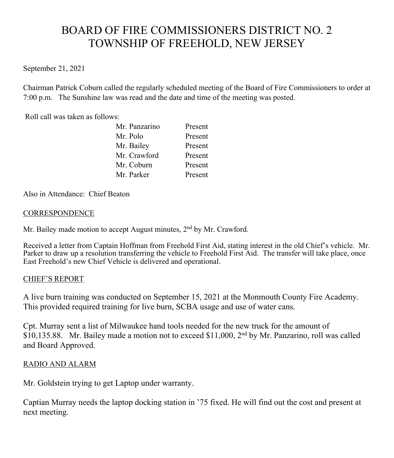# BOARD OF FIRE COMMISSIONERS DISTRICT NO. 2 TOWNSHIP OF FREEHOLD, NEW JERSEY

## September 21, 2021

Chairman Patrick Coburn called the regularly scheduled meeting of the Board of Fire Commissioners to order at 7:00 p.m. The Sunshine law was read and the date and time of the meeting was posted.

Roll call was taken as follows:

| Mr. Panzarino | Present |
|---------------|---------|
| Mr. Polo      | Present |
| Mr. Bailey    | Present |
| Mr. Crawford  | Present |
| Mr. Coburn    | Present |
| Mr. Parker    | Present |

Also in Attendance: Chief Beaton

### CORRESPONDENCE

Mr. Bailey made motion to accept August minutes, 2<sup>nd</sup> by Mr. Crawford.

Received a letter from Captain Hoffman from Freehold First Aid, stating interest in the old Chief's vehicle. Mr. Parker to draw up a resolution transferring the vehicle to Freehold First Aid. The transfer will take place, once East Freehold's new Chief Vehicle is delivered and operational.

## CHIEF'S REPORT

A live burn training was conducted on September 15, 2021 at the Monmouth County Fire Academy. This provided required training for live burn, SCBA usage and use of water cans.

Cpt. Murray sent a list of Milwaukee hand tools needed for the new truck for the amount of \$10,135.88. Mr. Bailey made a motion not to exceed \$11,000, 2<sup>nd</sup> by Mr. Panzarino, roll was called and Board Approved.

# RADIO AND ALARM

Mr. Goldstein trying to get Laptop under warranty.

Captian Murray needs the laptop docking station in '75 fixed. He will find out the cost and present at next meeting.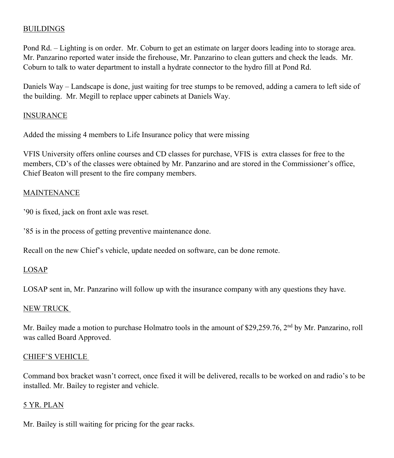### BUILDINGS

Pond Rd. – Lighting is on order. Mr. Coburn to get an estimate on larger doors leading into to storage area. Mr. Panzarino reported water inside the firehouse, Mr. Panzarino to clean gutters and check the leads. Mr. Coburn to talk to water department to install a hydrate connector to the hydro fill at Pond Rd.

Daniels Way – Landscape is done, just waiting for tree stumps to be removed, adding a camera to left side of the building. Mr. Megill to replace upper cabinets at Daniels Way.

## INSURANCE

Added the missing 4 members to Life Insurance policy that were missing

VFIS University offers online courses and CD classes for purchase, VFIS is extra classes for free to the members, CD's of the classes were obtained by Mr. Panzarino and are stored in the Commissioner's office, Chief Beaton will present to the fire company members.

## MAINTENANCE

'90 is fixed, jack on front axle was reset.

'85 is in the process of getting preventive maintenance done.

Recall on the new Chief's vehicle, update needed on software, can be done remote.

#### LOSAP

LOSAP sent in, Mr. Panzarino will follow up with the insurance company with any questions they have.

#### NEW TRUCK

Mr. Bailey made a motion to purchase Holmatro tools in the amount of \$29,259.76, 2<sup>nd</sup> by Mr. Panzarino, roll was called Board Approved.

## CHIEF'S VEHICLE

Command box bracket wasn't correct, once fixed it will be delivered, recalls to be worked on and radio's to be installed. Mr. Bailey to register and vehicle.

## 5 YR. PLAN

Mr. Bailey is still waiting for pricing for the gear racks.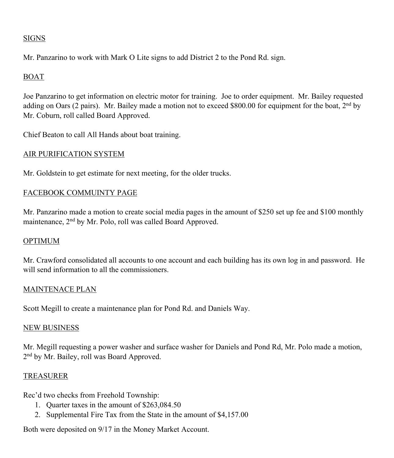## SIGNS

Mr. Panzarino to work with Mark O Lite signs to add District 2 to the Pond Rd. sign.

## BOAT

Joe Panzarino to get information on electric motor for training. Joe to order equipment. Mr. Bailey requested adding on Oars (2 pairs). Mr. Bailey made a motion not to exceed \$800.00 for equipment for the boat, 2<sup>nd</sup> by Mr. Coburn, roll called Board Approved.

Chief Beaton to call All Hands about boat training.

#### AIR PURIFICATION SYSTEM

Mr. Goldstein to get estimate for next meeting, for the older trucks.

### FACEBOOK COMMUINTY PAGE

Mr. Panzarino made a motion to create social media pages in the amount of \$250 set up fee and \$100 monthly maintenance, 2nd by Mr. Polo, roll was called Board Approved.

#### OPTIMUM

Mr. Crawford consolidated all accounts to one account and each building has its own log in and password. He will send information to all the commissioners.

#### MAINTENACE PLAN

Scott Megill to create a maintenance plan for Pond Rd. and Daniels Way.

#### NEW BUSINESS

Mr. Megill requesting a power washer and surface washer for Daniels and Pond Rd, Mr. Polo made a motion, 2<sup>nd</sup> by Mr. Bailey, roll was Board Approved.

#### **TREASURER**

Rec'd two checks from Freehold Township:

- 1. Quarter taxes in the amount of \$263,084.50
- 2. Supplemental Fire Tax from the State in the amount of \$4,157.00

Both were deposited on 9/17 in the Money Market Account.